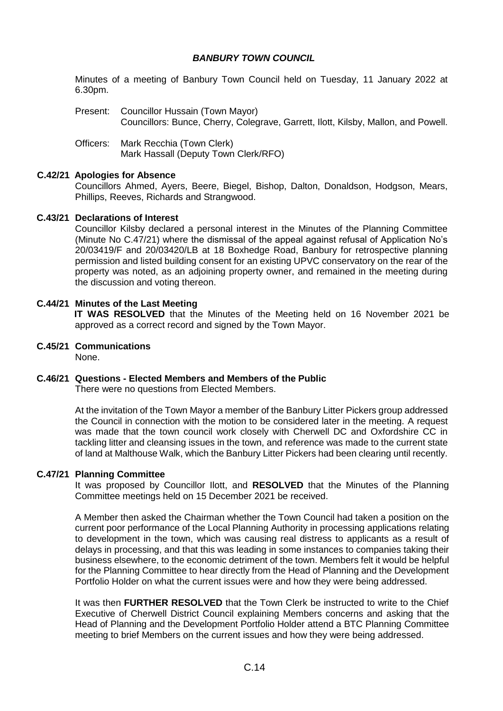# *BANBURY TOWN COUNCIL*

Minutes of a meeting of Banbury Town Council held on Tuesday, 11 January 2022 at 6.30pm.

- Present: Councillor Hussain (Town Mayor) Councillors: Bunce, Cherry, Colegrave, Garrett, Ilott, Kilsby, Mallon, and Powell.
- Officers: Mark Recchia (Town Clerk) Mark Hassall (Deputy Town Clerk/RFO)

## **C.42/21 Apologies for Absence**

Councillors Ahmed, Ayers, Beere, Biegel, Bishop, Dalton, Donaldson, Hodgson, Mears, Phillips, Reeves, Richards and Strangwood.

## **C.43/21 Declarations of Interest**

Councillor Kilsby declared a personal interest in the Minutes of the Planning Committee (Minute No C.47/21) where the dismissal of the appeal against refusal of Application No's 20/03419/F and 20/03420/LB at 18 Boxhedge Road, Banbury for retrospective planning permission and listed building consent for an existing UPVC conservatory on the rear of the property was noted, as an adjoining property owner, and remained in the meeting during the discussion and voting thereon.

# **C.44/21 Minutes of the Last Meeting**

**IT WAS RESOLVED** that the Minutes of the Meeting held on 16 November 2021 be approved as a correct record and signed by the Town Mayor.

**C.45/21 Communications**

None.

# **C.46/21 Questions - Elected Members and Members of the Public**

There were no questions from Elected Members.

At the invitation of the Town Mayor a member of the Banbury Litter Pickers group addressed the Council in connection with the motion to be considered later in the meeting. A request was made that the town council work closely with Cherwell DC and Oxfordshire CC in tackling litter and cleansing issues in the town, and reference was made to the current state of land at Malthouse Walk, which the Banbury Litter Pickers had been clearing until recently.

#### **C.47/21 Planning Committee**

It was proposed by Councillor Ilott, and **RESOLVED** that the Minutes of the Planning Committee meetings held on 15 December 2021 be received.

A Member then asked the Chairman whether the Town Council had taken a position on the current poor performance of the Local Planning Authority in processing applications relating to development in the town, which was causing real distress to applicants as a result of delays in processing, and that this was leading in some instances to companies taking their business elsewhere, to the economic detriment of the town. Members felt it would be helpful for the Planning Committee to hear directly from the Head of Planning and the Development Portfolio Holder on what the current issues were and how they were being addressed.

It was then **FURTHER RESOLVED** that the Town Clerk be instructed to write to the Chief Executive of Cherwell District Council explaining Members concerns and asking that the Head of Planning and the Development Portfolio Holder attend a BTC Planning Committee meeting to brief Members on the current issues and how they were being addressed.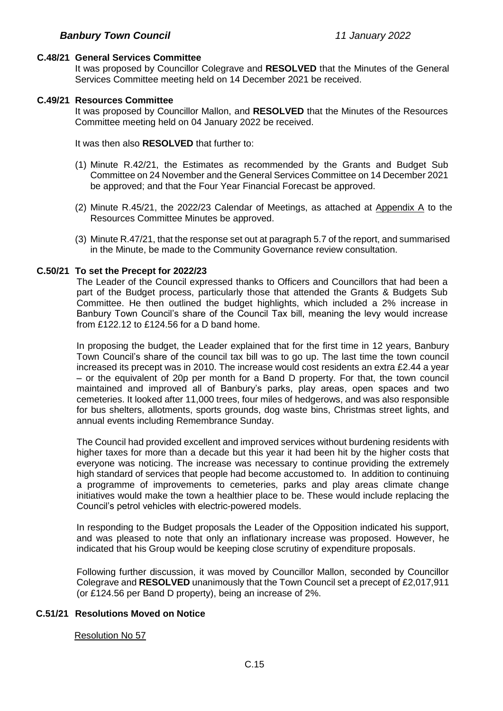## **C.48/21 General Services Committee**

It was proposed by Councillor Colegrave and **RESOLVED** that the Minutes of the General Services Committee meeting held on 14 December 2021 be received.

## **C.49/21 Resources Committee**

It was proposed by Councillor Mallon, and **RESOLVED** that the Minutes of the Resources Committee meeting held on 04 January 2022 be received.

It was then also **RESOLVED** that further to:

- (1) Minute R.42/21, the Estimates as recommended by the Grants and Budget Sub Committee on 24 November and the General Services Committee on 14 December 2021 be approved; and that the Four Year Financial Forecast be approved.
- (2) Minute R.45/21, the 2022/23 Calendar of Meetings, as attached at Appendix A to the Resources Committee Minutes be approved.
- (3) Minute R.47/21, that the response set out at paragraph 5.7 of the report, and summarised in the Minute, be made to the Community Governance review consultation.

## **C.50/21 To set the Precept for 2022/23**

The Leader of the Council expressed thanks to Officers and Councillors that had been a part of the Budget process, particularly those that attended the Grants & Budgets Sub Committee. He then outlined the budget highlights, which included a 2% increase in Banbury Town Council's share of the Council Tax bill, meaning the levy would increase from £122.12 to £124.56 for a D band home.

In proposing the budget, the Leader explained that for the first time in 12 years, Banbury Town Council's share of the council tax bill was to go up. The last time the town council increased its precept was in 2010. The increase would cost residents an extra £2.44 a year – or the equivalent of 20p per month for a Band D property. For that, the town council maintained and improved all of Banbury's parks, play areas, open spaces and two cemeteries. It looked after 11,000 trees, four miles of hedgerows, and was also responsible for bus shelters, allotments, sports grounds, dog waste bins, Christmas street lights, and annual events including Remembrance Sunday.

The Council had provided excellent and improved services without burdening residents with higher taxes for more than a decade but this year it had been hit by the higher costs that everyone was noticing. The increase was necessary to continue providing the extremely high standard of services that people had become accustomed to. In addition to continuing a programme of improvements to cemeteries, parks and play areas climate change initiatives would make the town a healthier place to be. These would include replacing the Council's petrol vehicles with electric-powered models.

In responding to the Budget proposals the Leader of the Opposition indicated his support, and was pleased to note that only an inflationary increase was proposed. However, he indicated that his Group would be keeping close scrutiny of expenditure proposals.

Following further discussion, it was moved by Councillor Mallon, seconded by Councillor Colegrave and **RESOLVED** unanimously that the Town Council set a precept of £2,017,911 (or £124.56 per Band D property), being an increase of 2%.

# **C.51/21 Resolutions Moved on Notice**

#### Resolution No 57